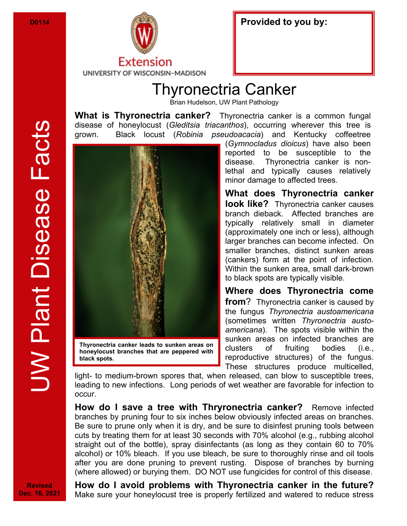

| Provided to you by: |  |
|---------------------|--|
|---------------------|--|

## Thyronectria Canker

Brian Hudelson, UW Plant Pathology

**What is Thyronectria canker?** Thyronectria canker is a common fungal disease of honeylocust (*Gleditsia triacanthos*), occurring wherever this tree is grown. Black locust (*Robinia pseudoacacia*) and Kentucky coffeetree



**honeylocust branches that are peppered with black spots.** 

(*Gymnocladus dioicus*) have also been reported to be susceptible to the disease. Thyronectria canker is nonlethal and typically causes relatively minor damage to affected trees.

**What does Thyronectria canker look like?** Thyronectria canker causes branch dieback. Affected branches are typically relatively small in diameter (approximately one inch or less), although larger branches can become infected. On smaller branches, distinct sunken areas (cankers) form at the point of infection. Within the sunken area, small dark-brown to black spots are typically visible.

**Where does Thyronectria come from**? Thyronectria canker is caused by the fungus *Thyronectria austoamericana*  (sometimes written *Thyronectria austoamericana*). The spots visible within the sunken areas on infected branches are clusters of fruiting bodies (i.e., reproductive structures) of the fungus. These structures produce multicelled,

light- to medium-brown spores that, when released, can blow to susceptible trees, leading to new infections. Long periods of wet weather are favorable for infection to occur.

**How do I save a tree with Thryronectria canker?** Remove infected branches by pruning four to six inches below obviously infected areas on branches. Be sure to prune only when it is dry, and be sure to disinfest pruning tools between cuts by treating them for at least 30 seconds with 70% alcohol (e.g., rubbing alcohol straight out of the bottle), spray disinfectants (as long as they contain 60 to 70% alcohol) or 10% bleach. If you use bleach, be sure to thoroughly rinse and oil tools after you are done pruning to prevent rusting. Dispose of branches by burning (where allowed) or burying them. DO NOT use fungicides for control of this disease.

**Revised Dec. 16, 2021** **How do I avoid problems with Thyronectria canker in the future?**  Make sure your honeylocust tree is properly fertilized and watered to reduce stress